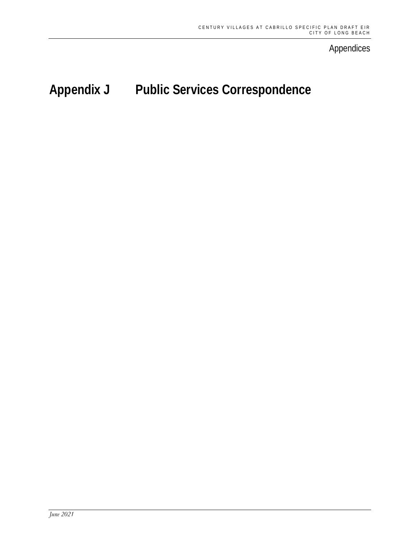Appendices

# **Appendix J Public Services Correspondence**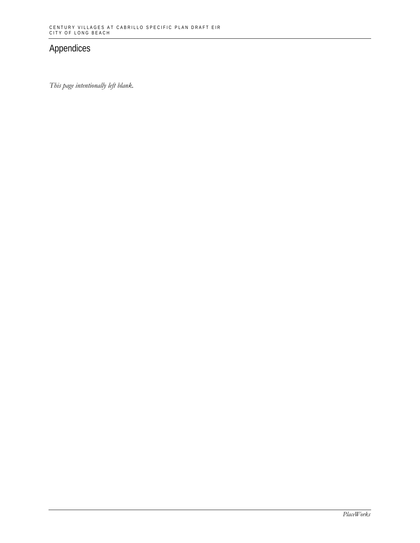# Appendices

*This page intentionally left blank.*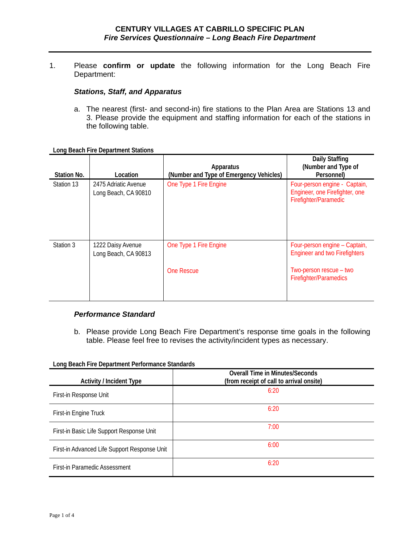1. Please **confirm or update** the following information for the Long Beach Fire Department:

#### *Stations, Staff, and Apparatus*

a. The nearest (first- and second-in) fire stations to the Plan Area are Stations 13 and 3. Please provide the equipment and staffing information for each of the stations in the following table.

**Long Beach Fire Department Stations**

| Station No. | Location                                     | <b>Apparatus</b><br>(Number and Type of Emergency Vehicles) | <b>Daily Staffing</b><br>(Number and Type of<br>Personnel)                                                                        |
|-------------|----------------------------------------------|-------------------------------------------------------------|-----------------------------------------------------------------------------------------------------------------------------------|
| Station 13  | 2475 Adriatic Avenue<br>Long Beach, CA 90810 | One Type 1 Fire Engine                                      | Four-person engine - Captain,<br>Engineer, one Firefighter, one<br>Firefighter/Paramedic                                          |
| Station 3   | 1222 Daisy Avenue<br>Long Beach, CA 90813    | One Type 1 Fire Engine<br>One Rescue                        | Four-person engine - Captain,<br><b>Engineer and two Firefighters</b><br>Two-person rescue – two<br><b>Firefighter/Paramedics</b> |

### *Performance Standard*

b. Please provide Long Beach Fire Department's response time goals in the following table. Please feel free to revises the activity/incident types as necessary.

**Long Beach Fire Department Performance Standards**

| <b>Activity / Incident Type</b>              | <b>Overall Time in Minutes/Seconds</b><br>(from receipt of call to arrival onsite) |
|----------------------------------------------|------------------------------------------------------------------------------------|
| First-in Response Unit                       | 6:20                                                                               |
| First-in Engine Truck                        | 6:20                                                                               |
| First-in Basic Life Support Response Unit    | 7:00                                                                               |
| First-in Advanced Life Support Response Unit | 6:00                                                                               |
| First-in Paramedic Assessment                | 6:20                                                                               |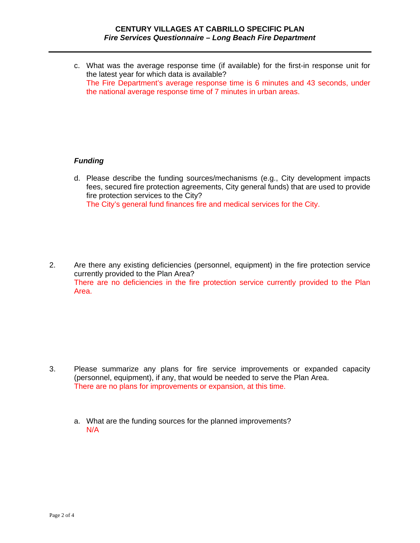c. What was the average response time (if available) for the first-in response unit for the latest year for which data is available? The Fire Department's average response time is 6 minutes and 43 seconds, under the national average response time of 7 minutes in urban areas.

# *Funding*

- d. Please describe the funding sources/mechanisms (e.g., City development impacts fees, secured fire protection agreements, City general funds) that are used to provide fire protection services to the City? The City's general fund finances fire and medical services for the City.
- 2. Are there any existing deficiencies (personnel, equipment) in the fire protection service currently provided to the Plan Area? There are no deficiencies in the fire protection service currently provided to the Plan Area.

- 3. Please summarize any plans for fire service improvements or expanded capacity (personnel, equipment), if any, that would be needed to serve the Plan Area. There are no plans for improvements or expansion, at this time.
	- a. What are the funding sources for the planned improvements? N/A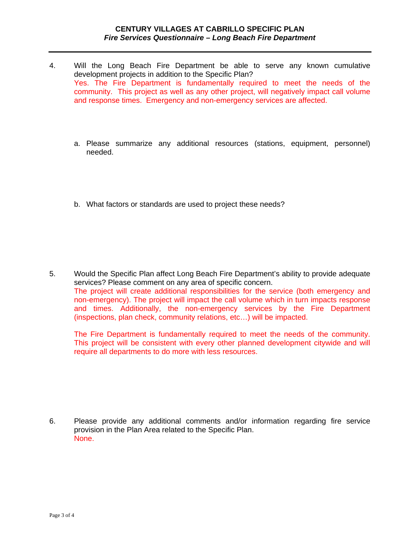- 4. Will the Long Beach Fire Department be able to serve any known cumulative development projects in addition to the Specific Plan? Yes. The Fire Department is fundamentally required to meet the needs of the community. This project as well as any other project, will negatively impact call volume and response times. Emergency and non-emergency services are affected.
	- a. Please summarize any additional resources (stations, equipment, personnel) needed.
	- b. What factors or standards are used to project these needs?

5. Would the Specific Plan affect Long Beach Fire Department's ability to provide adequate services? Please comment on any area of specific concern. The project will create additional responsibilities for the service (both emergency and non-emergency). The project will impact the call volume which in turn impacts response and times. Additionally, the non-emergency services by the Fire Department (inspections, plan check, community relations, etc…) will be impacted.

The Fire Department is fundamentally required to meet the needs of the community. This project will be consistent with every other planned development citywide and will require all departments to do more with less resources.

6. Please provide any additional comments and/or information regarding fire service provision in the Plan Area related to the Specific Plan. None.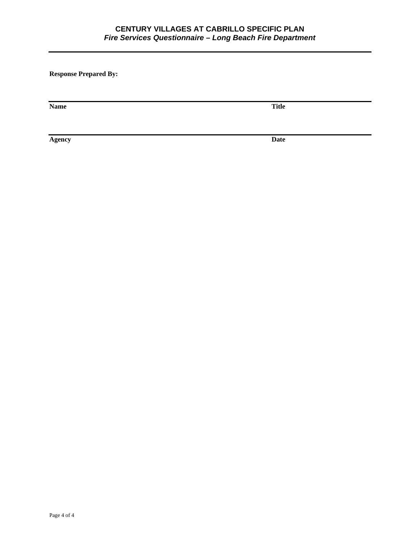# **CENTURY VILLAGES AT CABRILLO SPECIFIC PLAN** *Fire Services Questionnaire – Long Beach Fire Department*

**Response Prepared By:** 

**Name Title**

**Agency Date**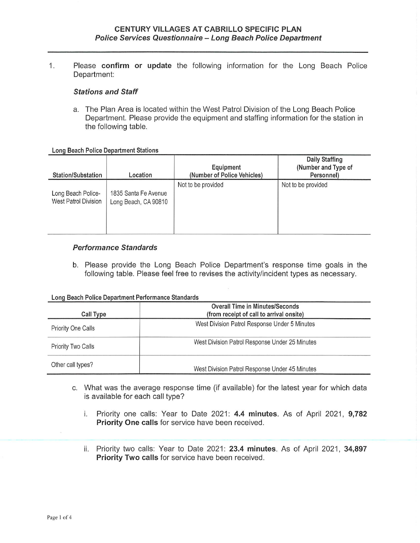$1.$ Please confirm or update the following information for the Long Beach Police Department:

### **Stations and Staff**

a. The Plan Area is located within the West Patrol Division of the Long Beach Police Department. Please provide the equipment and staffing information for the station in the following table.

**Long Beach Police Department Stations** 

| <b>Station/Substation</b>                  | Location                                     | Equipment<br>(Number of Police Vehicles) | Daily Staffing<br>(Number and Type of<br>Personnel) |
|--------------------------------------------|----------------------------------------------|------------------------------------------|-----------------------------------------------------|
| Long Beach Police-<br>West Patrol Division | 1835 Santa Fe Avenue<br>Long Beach, CA 90810 | Not to be provided                       | Not to be provided                                  |

## **Performance Standards**

b. Please provide the Long Beach Police Department's response time goals in the following table. Please feel free to revises the activity/incident types as necessary.

#### Long Beach Police Department Performance Standards

| Call Type                 | <b>Overall Time in Minutes/Seconds</b><br>(from receipt of call to arrival onsite) |  |
|---------------------------|------------------------------------------------------------------------------------|--|
| <b>Priority One Calls</b> | West Division Patrol Response Under 5 Minutes                                      |  |
| <b>Priority Two Calls</b> | West Division Patrol Response Under 25 Minutes                                     |  |
| Other call types?         | West Division Patrol Response Under 45 Minutes                                     |  |

- c. What was the average response time (if available) for the latest year for which data is available for each call type?
	- i. Priority one calls: Year to Date 2021: 4.4 minutes. As of April 2021, 9,782 Priority One calls for service have been received.
	- ii. Priority two calls: Year to Date 2021: 23.4 minutes. As of April 2021, 34,897 Priority Two calls for service have been received.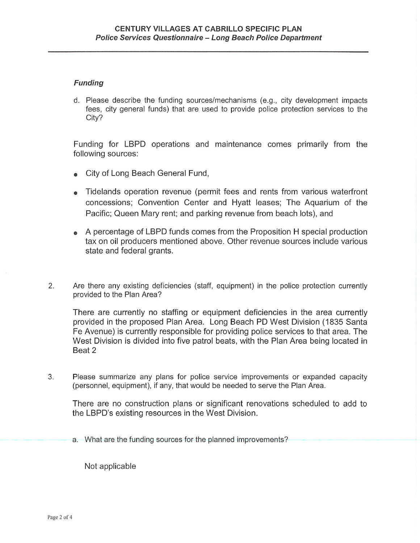# **Funding**

d. Please describe the funding sources/mechanisms (e.g., city development impacts fees, city general funds) that are used to provide police protection services to the City?

Funding for LBPD operations and maintenance comes primarily from the following sources:

- City of Long Beach General Fund,
- Tidelands operation revenue (permit fees and rents from various waterfront concessions; Convention Center and Hyatt leases; The Aquarium of the Pacific; Queen Mary rent; and parking revenue from beach lots), and
- A percentage of LBPD funds comes from the Proposition H special production tax on oil producers mentioned above. Other revenue sources include various state and federal grants.
- $2.$ Are there any existing deficiencies (staff, equipment) in the police protection currently provided to the Plan Area?

There are currently no staffing or equipment deficiencies in the area currently provided in the proposed Plan Area. Long Beach PD West Division (1835 Santa Fe Avenue) is currently responsible for providing police services to that area. The West Division is divided into five patrol beats, with the Plan Area being located in Beat 2

3. Please summarize any plans for police service improvements or expanded capacity (personnel, equipment), if any, that would be needed to serve the Plan Area.

There are no construction plans or significant renovations scheduled to add to the LBPD's existing resources in the West Division.

a. What are the funding sources for the planned improvements?

Not applicable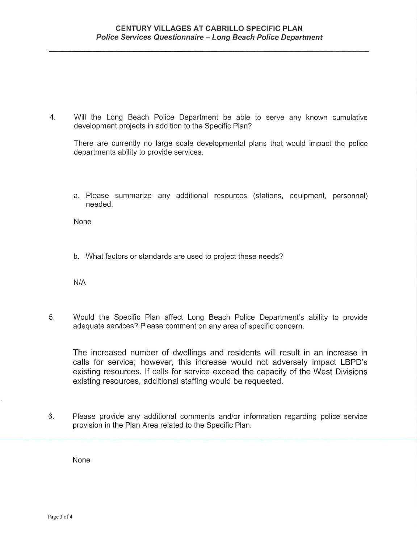$4.$ Will the Long Beach Police Department be able to serve any known cumulative development projects in addition to the Specific Plan?

There are currently no large scale developmental plans that would impact the police departments ability to provide services.

a. Please summarize any additional resources (stations, equipment, personnel) needed.

None

b. What factors or standards are used to project these needs?

 $N/A$ 

Would the Specific Plan affect Long Beach Police Department's ability to provide 5. adequate services? Please comment on any area of specific concern.

The increased number of dwellings and residents will result in an increase in calls for service; however, this increase would not adversely impact LBPD's existing resources. If calls for service exceed the capacity of the West Divisions existing resources, additional staffing would be requested.

6. Please provide any additional comments and/or information regarding police service provision in the Plan Area related to the Specific Plan.

None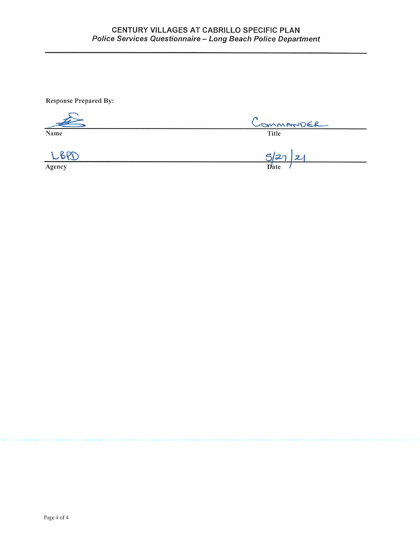**Response Prepared By:** 

|        | COMMANDER |  |
|--------|-----------|--|
| Name   | Title     |  |
|        | 527<br> 2 |  |
| Agency | Date      |  |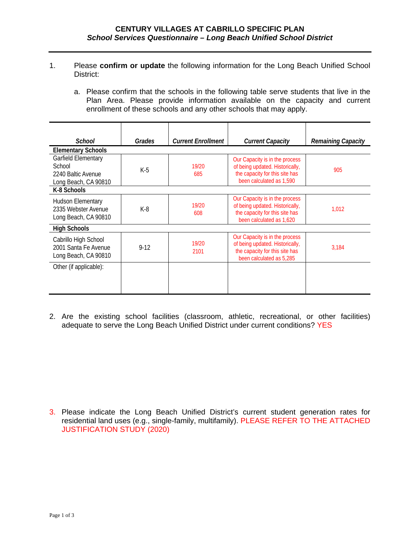- 1. Please **confirm or update** the following information for the Long Beach Unified School District:
	- a. Please confirm that the schools in the following table serve students that live in the Plan Area. Please provide information available on the capacity and current enrollment of these schools and any other schools that may apply.

| School                                                                      | Grades | <b>Current Enrollment</b> | <b>Current Capacity</b>                                                                                                         | <b>Remaining Capacity</b> |
|-----------------------------------------------------------------------------|--------|---------------------------|---------------------------------------------------------------------------------------------------------------------------------|---------------------------|
| <b>Elementary Schools</b>                                                   |        |                           |                                                                                                                                 |                           |
| Garfield Elementary<br>School<br>2240 Baltic Avenue<br>Long Beach, CA 90810 | $K-5$  | 19/20<br>685              | Our Capacity is in the process<br>of being updated. Historically,<br>the capacity for this site has<br>been calculated as 1,590 | 905                       |
| K-8 Schools                                                                 |        |                           |                                                                                                                                 |                           |
| <b>Hudson Elementary</b><br>2335 Webster Avenue<br>Long Beach, CA 90810     | $K-8$  | 19/20<br>608              | Our Capacity is in the process<br>of being updated. Historically,<br>the capacity for this site has<br>been calculated as 1,620 | 1,012                     |
| <b>High Schools</b>                                                         |        |                           |                                                                                                                                 |                           |
| Cabrillo High School<br>2001 Santa Fe Avenue<br>Long Beach, CA 90810        | $9-12$ | 19/20<br>2101             | Our Capacity is in the process<br>of being updated. Historically,<br>the capacity for this site has<br>been calculated as 5,285 | 3,184                     |
| Other (if applicable):                                                      |        |                           |                                                                                                                                 |                           |

2. Are the existing school facilities (classroom, athletic, recreational, or other facilities) adequate to serve the Long Beach Unified District under current conditions? YES

3. Please indicate the Long Beach Unified District's current student generation rates for residential land uses (e.g., single-family, multifamily). PLEASE REFER TO THE ATTACHED JUSTIFICATION STUDY (2020)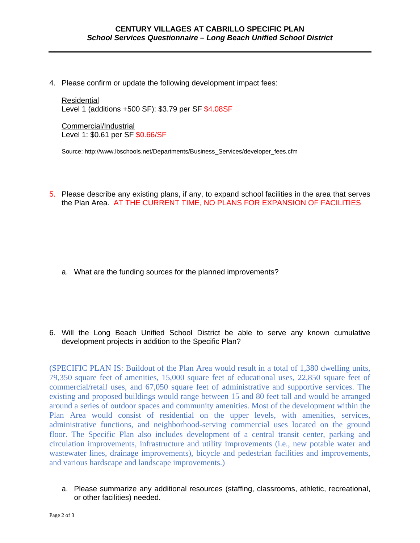4. Please confirm or update the following development impact fees:

Residential Level 1 (additions +500 SF): \$3.79 per SF \$4.08SF

Commercial/Industrial Level 1: \$0.61 per SF \$0.66/SF

Source: http://www.lbschools.net/Departments/Business\_Services/developer\_fees.cfm

5. Please describe any existing plans, if any, to expand school facilities in the area that serves the Plan Area. AT THE CURRENT TIME, NO PLANS FOR EXPANSION OF FACILITIES

- a. What are the funding sources for the planned improvements?
- 6. Will the Long Beach Unified School District be able to serve any known cumulative development projects in addition to the Specific Plan?

(SPECIFIC PLAN IS: Buildout of the Plan Area would result in a total of 1,380 dwelling units, 79,350 square feet of amenities, 15,000 square feet of educational uses, 22,850 square feet of commercial/retail uses, and 67,050 square feet of administrative and supportive services. The existing and proposed buildings would range between 15 and 80 feet tall and would be arranged around a series of outdoor spaces and community amenities. Most of the development within the Plan Area would consist of residential on the upper levels, with amenities, services, administrative functions, and neighborhood-serving commercial uses located on the ground floor. The Specific Plan also includes development of a central transit center, parking and circulation improvements, infrastructure and utility improvements (i.e., new potable water and wastewater lines, drainage improvements), bicycle and pedestrian facilities and improvements, and various hardscape and landscape improvements.)

a. Please summarize any additional resources (staffing, classrooms, athletic, recreational, or other facilities) needed.